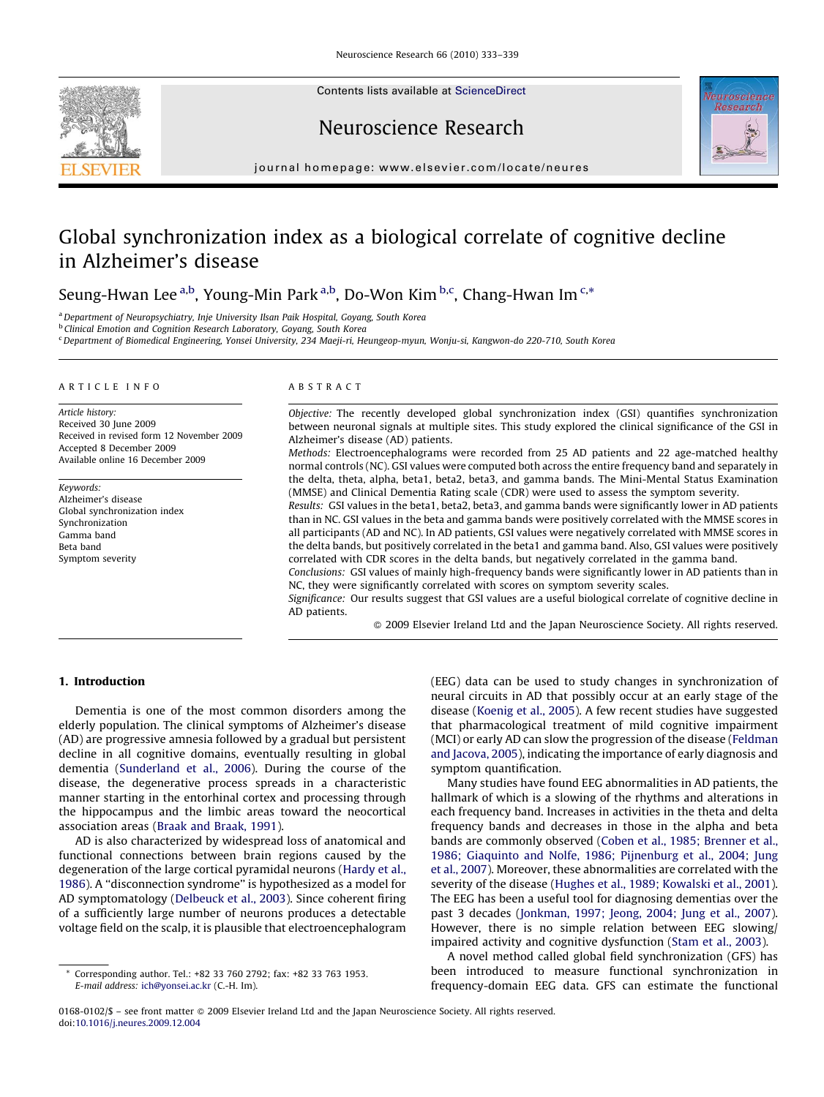

Contents lists available at [ScienceDirect](http://www.sciencedirect.com/science/journal/01680102)

Neuroscience Research



journal homepage: www.elsevier.com/locate/neures

# Global synchronization index as a biological correlate of cognitive decline in Alzheimer's disease

Seung-Hwan Lee <sup>a,b</sup>, Young-Min Park <sup>a,b</sup>, Do-Won Kim <sup>b,c</sup>, Chang-Hwan Im <sup>c,\*</sup>

<sup>a</sup> Department of Neuropsychiatry, Inje University Ilsan Paik Hospital, Goyang, South Korea

**b Clinical Emotion and Cognition Research Laboratory, Goyang, South Korea** 

<sup>c</sup>Department of Biomedical Engineering, Yonsei University, 234 Maeji-ri, Heungeop-myun, Wonju-si, Kangwon-do 220-710, South Korea

# ARTICLE INFO

Article history: Received 30 June 2009 Received in revised form 12 November 2009 Accepted 8 December 2009 Available online 16 December 2009

Keywords: Alzheimer's disease Global synchronization index Synchronization Gamma band Beta band Symptom severity

# ABSTRACT

Objective: The recently developed global synchronization index (GSI) quantifies synchronization between neuronal signals at multiple sites. This study explored the clinical significance of the GSI in Alzheimer's disease (AD) patients.

Methods: Electroencephalograms were recorded from 25 AD patients and 22 age-matched healthy normal controls (NC). GSI values were computed both across the entire frequency band and separately in the delta, theta, alpha, beta1, beta2, beta3, and gamma bands. The Mini-Mental Status Examination (MMSE) and Clinical Dementia Rating scale (CDR) were used to assess the symptom severity.

Results: GSI values in the beta1, beta2, beta3, and gamma bands were significantly lower in AD patients than in NC. GSI values in the beta and gamma bands were positively correlated with the MMSE scores in all participants (AD and NC). In AD patients, GSI values were negatively correlated with MMSE scores in the delta bands, but positively correlated in the beta1 and gamma band. Also, GSI values were positively correlated with CDR scores in the delta bands, but negatively correlated in the gamma band.

Conclusions: GSI values of mainly high-frequency bands were significantly lower in AD patients than in NC, they were significantly correlated with scores on symptom severity scales.

Significance: Our results suggest that GSI values are a useful biological correlate of cognitive decline in AD patients.

- 2009 Elsevier Ireland Ltd and the Japan Neuroscience Society. All rights reserved.

# 1. Introduction

Dementia is one of the most common disorders among the elderly population. The clinical symptoms of Alzheimer's disease (AD) are progressive amnesia followed by a gradual but persistent decline in all cognitive domains, eventually resulting in global dementia [\(Sunderland et al., 2006](#page-5-0)). During the course of the disease, the degenerative process spreads in a characteristic manner starting in the entorhinal cortex and processing through the hippocampus and the limbic areas toward the neocortical association areas ([Braak and Braak, 1991](#page-5-0)).

AD is also characterized by widespread loss of anatomical and functional connections between brain regions caused by the degeneration of the large cortical pyramidal neurons ([Hardy et al.,](#page-5-0) [1986\)](#page-5-0). A ''disconnection syndrome'' is hypothesized as a model for AD symptomatology ([Delbeuck et al., 2003\)](#page-5-0). Since coherent firing of a sufficiently large number of neurons produces a detectable voltage field on the scalp, it is plausible that electroencephalogram

(EEG) data can be used to study changes in synchronization of neural circuits in AD that possibly occur at an early stage of the disease ([Koenig et al., 2005\)](#page-5-0). A few recent studies have suggested that pharmacological treatment of mild cognitive impairment (MCI) or early AD can slow the progression of the disease ([Feldman](#page-5-0) [and Jacova, 2005\)](#page-5-0), indicating the importance of early diagnosis and symptom quantification.

Many studies have found EEG abnormalities in AD patients, the hallmark of which is a slowing of the rhythms and alterations in each frequency band. Increases in activities in the theta and delta frequency bands and decreases in those in the alpha and beta bands are commonly observed ([Coben et al., 1985; Brenner et al.,](#page-5-0) [1986; Giaquinto and Nolfe, 1986; Pijnenburg et al., 2004; Jung](#page-5-0) [et al., 2007](#page-5-0)). Moreover, these abnormalities are correlated with the severity of the disease [\(Hughes et al., 1989; Kowalski et al., 2001\)](#page-5-0). The EEG has been a useful tool for diagnosing dementias over the past 3 decades [\(Jonkman, 1997; Jeong, 2004; Jung et al., 2007\)](#page-5-0). However, there is no simple relation between EEG slowing/ impaired activity and cognitive dysfunction ([Stam et al., 2003\)](#page-5-0).

A novel method called global field synchronization (GFS) has been introduced to measure functional synchronization in frequency-domain EEG data. GFS can estimate the functional

Corresponding author. Tel.: +82 33 760 2792; fax: +82 33 763 1953. E-mail address: [ich@yonsei.ac.kr](mailto:ich@yonsei.ac.kr) (C.-H. Im).

<sup>0168-0102/\$ –</sup> see front matter © 2009 Elsevier Ireland Ltd and the Japan Neuroscience Society. All rights reserved. doi:[10.1016/j.neures.2009.12.004](http://dx.doi.org/10.1016/j.neures.2009.12.004)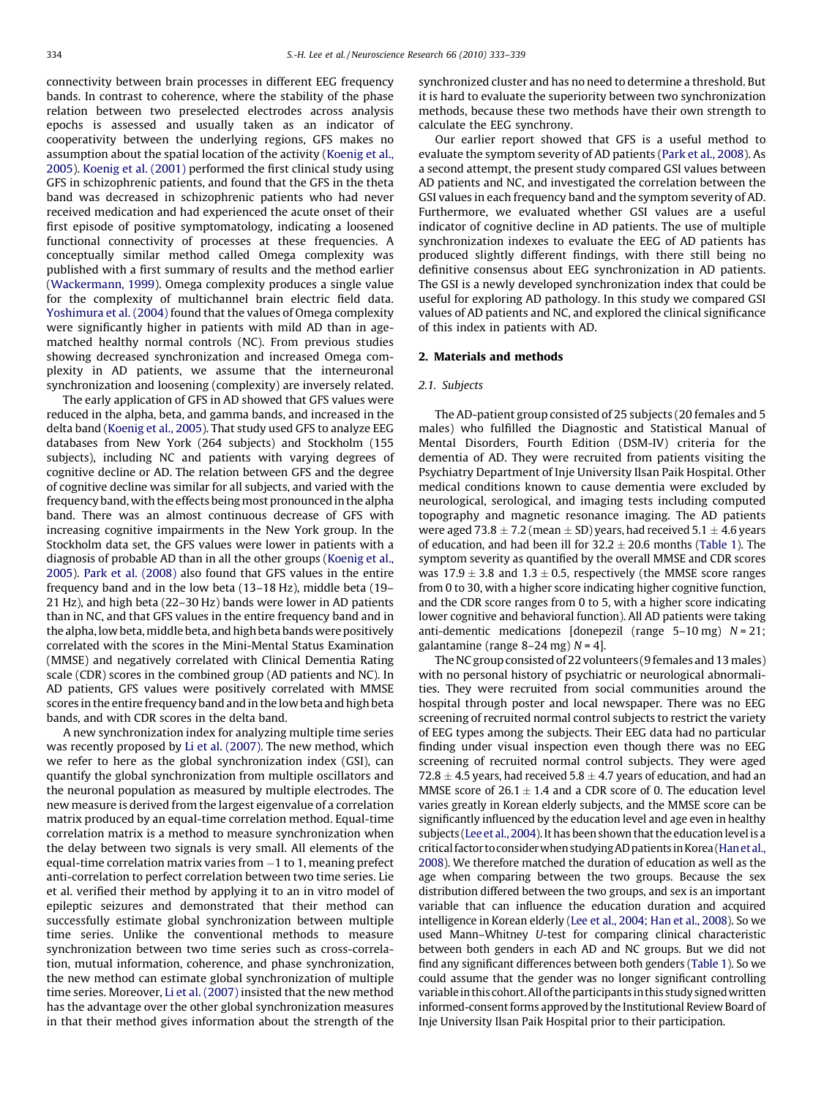connectivity between brain processes in different EEG frequency bands. In contrast to coherence, where the stability of the phase relation between two preselected electrodes across analysis epochs is assessed and usually taken as an indicator of cooperativity between the underlying regions, GFS makes no assumption about the spatial location of the activity [\(Koenig et al.,](#page-5-0) [2005\)](#page-5-0). [Koenig et al. \(2001\)](#page-5-0) performed the first clinical study using GFS in schizophrenic patients, and found that the GFS in the theta band was decreased in schizophrenic patients who had never received medication and had experienced the acute onset of their first episode of positive symptomatology, indicating a loosened functional connectivity of processes at these frequencies. A conceptually similar method called Omega complexity was published with a first summary of results and the method earlier ([Wackermann, 1999\)](#page-6-0). Omega complexity produces a single value for the complexity of multichannel brain electric field data. [Yoshimura et al. \(2004\)](#page-6-0) found that the values of Omega complexity were significantly higher in patients with mild AD than in agematched healthy normal controls (NC). From previous studies showing decreased synchronization and increased Omega complexity in AD patients, we assume that the interneuronal synchronization and loosening (complexity) are inversely related.

The early application of GFS in AD showed that GFS values were reduced in the alpha, beta, and gamma bands, and increased in the delta band [\(Koenig et al., 2005](#page-5-0)). That study used GFS to analyze EEG databases from New York (264 subjects) and Stockholm (155 subjects), including NC and patients with varying degrees of cognitive decline or AD. The relation between GFS and the degree of cognitive decline was similar for all subjects, and varied with the frequency band, with the effects being most pronounced in the alpha band. There was an almost continuous decrease of GFS with increasing cognitive impairments in the New York group. In the Stockholm data set, the GFS values were lower in patients with a diagnosis of probable AD than in all the other groups ([Koenig et al.,](#page-5-0) [2005\)](#page-5-0). [Park et al. \(2008\)](#page-5-0) also found that GFS values in the entire frequency band and in the low beta (13–18 Hz), middle beta (19– 21 Hz), and high beta (22–30 Hz) bands were lower in AD patients than in NC, and that GFS values in the entire frequency band and in the alpha, low beta, middle beta, and high beta bands were positively correlated with the scores in the Mini-Mental Status Examination (MMSE) and negatively correlated with Clinical Dementia Rating scale (CDR) scores in the combined group (AD patients and NC). In AD patients, GFS values were positively correlated with MMSE scores in the entire frequency band and in the low beta and high beta bands, and with CDR scores in the delta band.

A new synchronization index for analyzing multiple time series was recently proposed by [Li et al. \(2007\)](#page-5-0). The new method, which we refer to here as the global synchronization index (GSI), can quantify the global synchronization from multiple oscillators and the neuronal population as measured by multiple electrodes. The new measure is derived from the largest eigenvalue of a correlation matrix produced by an equal-time correlation method. Equal-time correlation matrix is a method to measure synchronization when the delay between two signals is very small. All elements of the equal-time correlation matrix varies from –1 to 1, meaning prefect anti-correlation to perfect correlation between two time series. Lie et al. verified their method by applying it to an in vitro model of epileptic seizures and demonstrated that their method can successfully estimate global synchronization between multiple time series. Unlike the conventional methods to measure synchronization between two time series such as cross-correlation, mutual information, coherence, and phase synchronization, the new method can estimate global synchronization of multiple time series. Moreover, [Li et al. \(2007\)](#page-5-0) insisted that the new method has the advantage over the other global synchronization measures in that their method gives information about the strength of the synchronized cluster and has no need to determine a threshold. But it is hard to evaluate the superiority between two synchronization methods, because these two methods have their own strength to calculate the EEG synchrony.

Our earlier report showed that GFS is a useful method to evaluate the symptom severity of AD patients ([Park et al., 2008\)](#page-5-0). As a second attempt, the present study compared GSI values between AD patients and NC, and investigated the correlation between the GSI values in each frequency band and the symptom severity of AD. Furthermore, we evaluated whether GSI values are a useful indicator of cognitive decline in AD patients. The use of multiple synchronization indexes to evaluate the EEG of AD patients has produced slightly different findings, with there still being no definitive consensus about EEG synchronization in AD patients. The GSI is a newly developed synchronization index that could be useful for exploring AD pathology. In this study we compared GSI values of AD patients and NC, and explored the clinical significance of this index in patients with AD.

# 2. Materials and methods

## 2.1. Subjects

The AD-patient group consisted of 25 subjects (20 females and 5 males) who fulfilled the Diagnostic and Statistical Manual of Mental Disorders, Fourth Edition (DSM-IV) criteria for the dementia of AD. They were recruited from patients visiting the Psychiatry Department of Inje University Ilsan Paik Hospital. Other medical conditions known to cause dementia were excluded by neurological, serological, and imaging tests including computed topography and magnetic resonance imaging. The AD patients were aged 73.8  $\pm$  7.2 (mean  $\pm$  SD) years, had received 5.1  $\pm$  4.6 years of education, and had been ill for  $32.2 \pm 20.6$  months [\(Table 1\)](#page-2-0). The symptom severity as quantified by the overall MMSE and CDR scores was  $17.9 \pm 3.8$  and  $1.3 \pm 0.5$ , respectively (the MMSE score ranges from 0 to 30, with a higher score indicating higher cognitive function, and the CDR score ranges from 0 to 5, with a higher score indicating lower cognitive and behavioral function). All AD patients were taking anti-dementic medications [donepezil (range  $5-10$  mg)  $N = 21$ ; galantamine (range 8–24 mg)  $N = 4$ ].

The NC group consisted of 22 volunteers (9 females and 13males) with no personal history of psychiatric or neurological abnormalities. They were recruited from social communities around the hospital through poster and local newspaper. There was no EEG screening of recruited normal control subjects to restrict the variety of EEG types among the subjects. Their EEG data had no particular finding under visual inspection even though there was no EEG screening of recruited normal control subjects. They were aged 72.8  $\pm$  4.5 years, had received 5.8  $\pm$  4.7 years of education, and had an MMSE score of  $26.1 \pm 1.4$  and a CDR score of 0. The education level varies greatly in Korean elderly subjects, and the MMSE score can be significantly influenced by the education level and age even in healthy subjects [\(Lee et al., 2004](#page-5-0)). It has been shown that the education level is a critical factor toconsiderwhen studyingADpatients inKorea ([Han et al.,](#page-5-0) [2008\)](#page-5-0). We therefore matched the duration of education as well as the age when comparing between the two groups. Because the sex distribution differed between the two groups, and sex is an important variable that can influence the education duration and acquired intelligence in Korean elderly ([Lee et al., 2004; Han et al., 2008\)](#page-5-0). So we used Mann–Whitney U-test for comparing clinical characteristic between both genders in each AD and NC groups. But we did not find any significant differences between both genders ([Table 1\)](#page-2-0). So we could assume that the gender was no longer significant controlling variable in this cohort.All of the participants in this study signedwritten informed-consent forms approved by the Institutional Review Board of Inje University Ilsan Paik Hospital prior to their participation.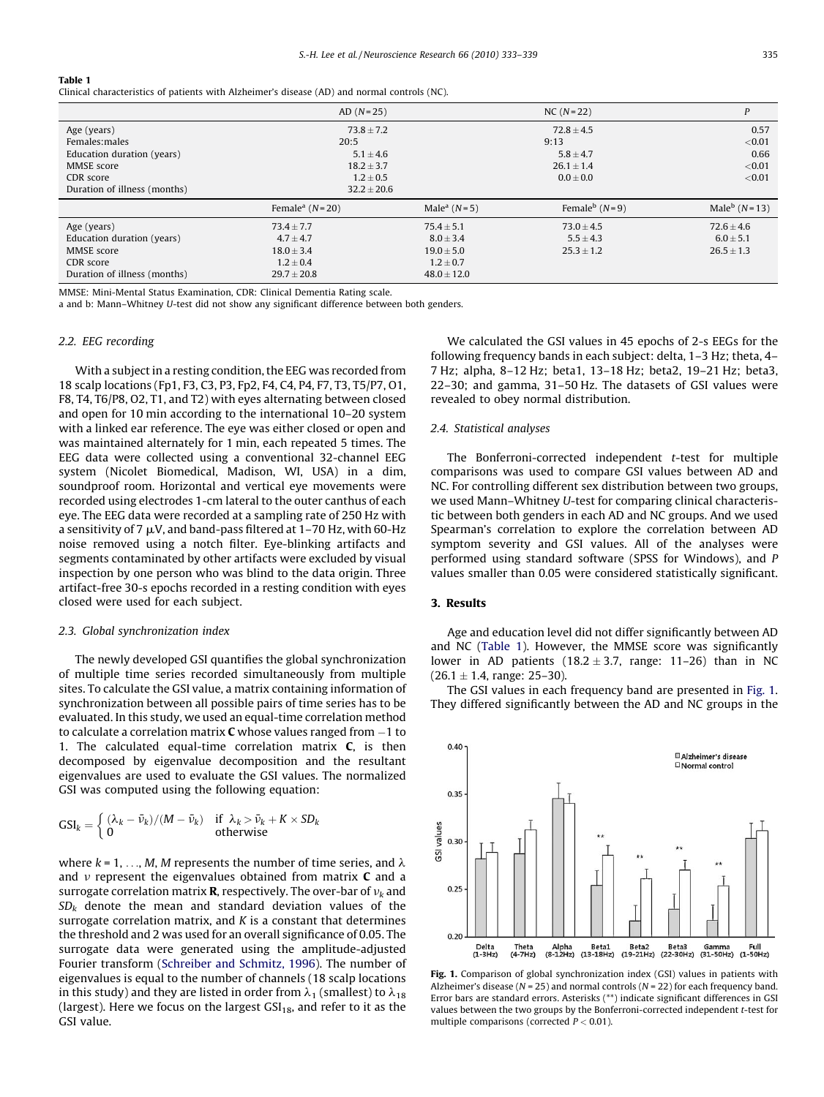## <span id="page-2-0"></span>Table 1

Clinical characteristics of patients with Alzheimer's disease (AD) and normal controls (NC).

|                              | $AD(N=25)$                   |                           | $NC(N=22)$                  | P                              |
|------------------------------|------------------------------|---------------------------|-----------------------------|--------------------------------|
| Age (years)                  |                              | $73.8 \pm 7.2$            |                             | 0.57                           |
| Females:males                | 20:5                         |                           |                             | < 0.01                         |
| Education duration (years)   | $5.1 \pm 4.6$                |                           | $5.8 \pm 4.7$               | 0.66                           |
| MMSE score                   | $18.2 \pm 3.7$               |                           | $26.1 \pm 1.4$              | < 0.01                         |
| CDR score                    | $1.2 \pm 0.5$                |                           | $0.0 \pm 0.0$               | ${<}0.01$                      |
| Duration of illness (months) | $32.2 \pm 20.6$              |                           |                             |                                |
|                              | Female <sup>a</sup> $(N=20)$ | Male <sup>a</sup> $(N=5)$ | Female <sup>b</sup> $(N=9)$ | Male <sup>b</sup> ( $N = 13$ ) |
| Age (years)                  | $73.4 \pm 7.7$               | $75.4 \pm 5.1$            | $73.0 \pm 4.5$              | $72.6 \pm 4.6$                 |
| Education duration (years)   | $4.7 \pm 4.7$                | $8.0 \pm 3.4$             | $5.5 \pm 4.3$               | $6.0 \pm 5.1$                  |
| MMSE score                   | $18.0 \pm 3.4$               | $19.0 \pm 5.0$            | $25.3 \pm 1.2$              | $26.5 \pm 1.3$                 |
| CDR score                    | $1.2 \pm 0.4$                | $1.2 \pm 0.7$             |                             |                                |
| Duration of illness (months) | $29.7 \pm 20.8$              | $48.0 \pm 12.0$           |                             |                                |

MMSE: Mini-Mental Status Examination, CDR: Clinical Dementia Rating scale.

a and b: Mann–Whitney U-test did not show any significant difference between both genders.

## 2.2. EEG recording

With a subject in a resting condition, the EEG was recorded from 18 scalp locations (Fp1, F3, C3, P3, Fp2, F4, C4, P4, F7, T3, T5/P7, O1, F8, T4, T6/P8, O2, T1, and T2) with eyes alternating between closed and open for 10 min according to the international 10–20 system with a linked ear reference. The eye was either closed or open and was maintained alternately for 1 min, each repeated 5 times. The EEG data were collected using a conventional 32-channel EEG system (Nicolet Biomedical, Madison, WI, USA) in a dim, soundproof room. Horizontal and vertical eye movements were recorded using electrodes 1-cm lateral to the outer canthus of each eye. The EEG data were recorded at a sampling rate of 250 Hz with a sensitivity of 7  $\mu$ V, and band-pass filtered at 1-70 Hz, with 60-Hz noise removed using a notch filter. Eye-blinking artifacts and segments contaminated by other artifacts were excluded by visual inspection by one person who was blind to the data origin. Three artifact-free 30-s epochs recorded in a resting condition with eyes closed were used for each subject.

#### 2.3. Global synchronization index

The newly developed GSI quantifies the global synchronization of multiple time series recorded simultaneously from multiple sites. To calculate the GSI value, a matrix containing information of synchronization between all possible pairs of time series has to be evaluated. In this study, we used an equal-time correlation method to calculate a correlation matrix **C** whose values ranged from  $-1$  to 1. The calculated equal-time correlation matrix  $C$ , is then decomposed by eigenvalue decomposition and the resultant eigenvalues are used to evaluate the GSI values. The normalized GSI was computed using the following equation:

$$
GSI_k = \begin{cases} (\lambda_k - \bar{\nu}_k)/(M - \bar{\nu}_k) & \text{if } \lambda_k > \bar{\nu}_k + K \times SD_k \\ 0 & \text{otherwise} \end{cases}
$$

where  $k = 1, \ldots, M$ , *M* represents the number of time series, and  $\lambda$ and  $\nu$  represent the eigenvalues obtained from matrix  $C$  and a surrogate correlation matrix **R**, respectively. The over-bar of  $v_k$  and  $SD_k$  denote the mean and standard deviation values of the surrogate correlation matrix, and  $K$  is a constant that determines the threshold and 2 was used for an overall significance of 0.05. The surrogate data were generated using the amplitude-adjusted Fourier transform ([Schreiber and Schmitz, 1996](#page-5-0)). The number of eigenvalues is equal to the number of channels (18 scalp locations in this study) and they are listed in order from  $\lambda_1$  (smallest) to  $\lambda_{18}$ (largest). Here we focus on the largest  $GSI<sub>18</sub>$ , and refer to it as the GSI value.

We calculated the GSI values in 45 epochs of 2-s EEGs for the following frequency bands in each subject: delta, 1–3 Hz; theta, 4– 7 Hz; alpha, 8–12 Hz; beta1, 13–18 Hz; beta2, 19–21 Hz; beta3, 22–30; and gamma, 31–50 Hz. The datasets of GSI values were revealed to obey normal distribution.

# 2.4. Statistical analyses

The Bonferroni-corrected independent t-test for multiple comparisons was used to compare GSI values between AD and NC. For controlling different sex distribution between two groups, we used Mann–Whitney U-test for comparing clinical characteristic between both genders in each AD and NC groups. And we used Spearman's correlation to explore the correlation between AD symptom severity and GSI values. All of the analyses were performed using standard software (SPSS for Windows), and P values smaller than 0.05 were considered statistically significant.

## 3. Results

Age and education level did not differ significantly between AD and NC (Table 1). However, the MMSE score was significantly lower in AD patients  $(18.2 \pm 3.7, \text{ range: } 11-26)$  than in NC  $(26.1 \pm 1.4, \text{range: } 25-30).$ 

The GSI values in each frequency band are presented in Fig. 1. They differed significantly between the AD and NC groups in the



Fig. 1. Comparison of global synchronization index (GSI) values in patients with Alzheimer's disease ( $N = 25$ ) and normal controls ( $N = 22$ ) for each frequency band. Error bars are standard errors. Asterisks (\*\*) indicate significant differences in GSI values between the two groups by the Bonferroni-corrected independent t-test for multiple comparisons (corrected  $P < 0.01$ ).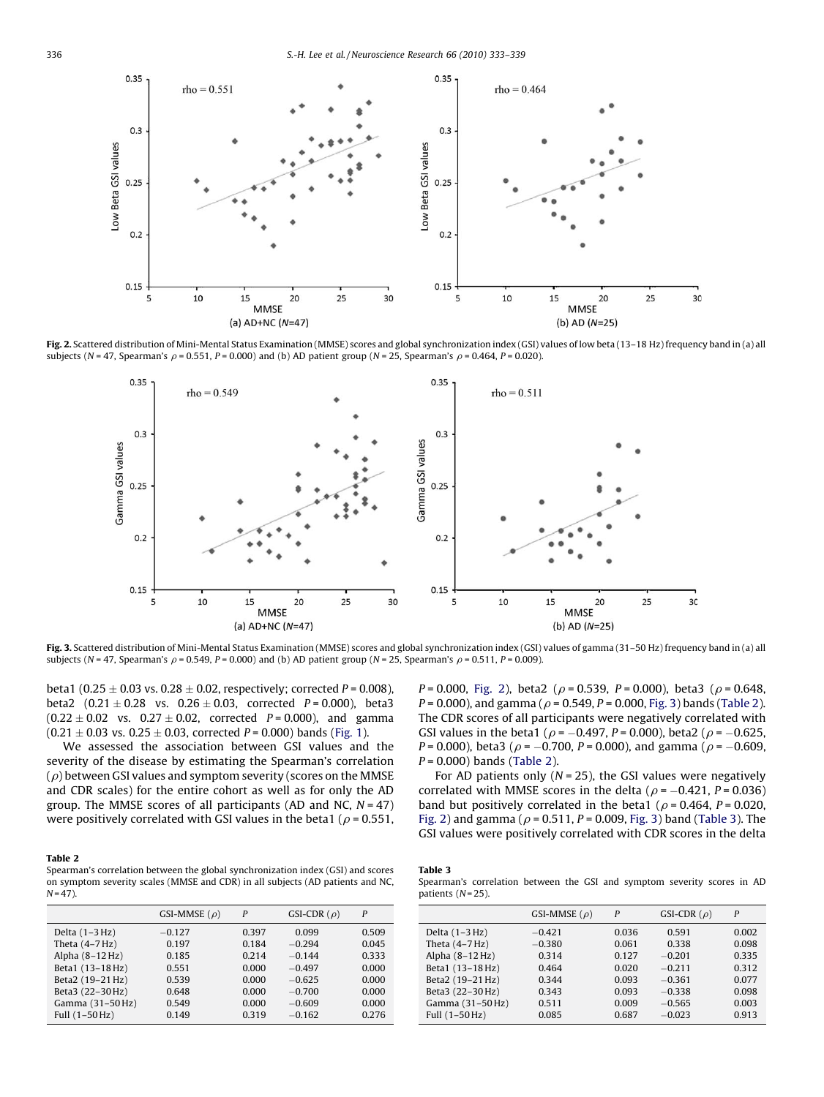<span id="page-3-0"></span>

Fig. 2. Scattered distribution of Mini-Mental Status Examination (MMSE) scores and global synchronization index (GSI) values of low beta (13-18 Hz) frequency band in (a) all subjects (N = 47, Spearman's  $\rho$  = 0.551, P = 0.000) and (b) AD patient group (N = 25, Spearman's  $\rho$  = 0.464, P = 0.020).



Fig. 3. Scattered distribution of Mini-Mental Status Examination (MMSE) scores and global synchronization index (GSI) values of gamma (31-50 Hz) frequency band in (a) all subjects (N = 47, Spearman's  $\rho$  = 0.549, P = 0.000) and (b) AD patient group (N = 25, Spearman's  $\rho$  = 0.511, P = 0.009).

beta1 (0.25  $\pm$  0.03 vs. 0.28  $\pm$  0.02, respectively; corrected P = 0.008), beta2  $(0.21 \pm 0.28 \text{ vs. } 0.26 \pm 0.03, \text{ corrected } P = 0.000), \text{ beta3}$  $(0.22 \pm 0.02 \text{ vs. } 0.27 \pm 0.02, \text{ corrected } P = 0.000), \text{ and gamma}$  $(0.21 \pm 0.03 \text{ vs. } 0.25 \pm 0.03, \text{ corrected } P = 0.000) \text{ bands (Fig. 1)}.$  $(0.21 \pm 0.03 \text{ vs. } 0.25 \pm 0.03, \text{ corrected } P = 0.000) \text{ bands (Fig. 1)}.$  $(0.21 \pm 0.03 \text{ vs. } 0.25 \pm 0.03, \text{ corrected } P = 0.000) \text{ bands (Fig. 1)}.$ 

We assessed the association between GSI values and the severity of the disease by estimating the Spearman's correlation  $(\rho)$  between GSI values and symptom severity (scores on the MMSE and CDR scales) for the entire cohort as well as for only the AD group. The MMSE scores of all participants (AD and NC,  $N = 47$ ) were positively correlated with GSI values in the beta1 ( $\rho$  = 0.551,  $P = 0.000$ , Fig. 2), beta2 ( $\rho = 0.539$ ,  $P = 0.000$ ), beta3 ( $\rho = 0.648$ ,  $P = 0.000$ ), and gamma ( $\rho = 0.549$ ,  $P = 0.000$ , Fig. 3) bands (Table 2). The CDR scores of all participants were negatively correlated with GSI values in the beta1 ( $\rho$  = -0.497, P = 0.000), beta2 ( $\rho$  = -0.625,  $P = 0.000$ ), beta3 ( $\rho = -0.700$ ,  $P = 0.000$ ), and gamma ( $\rho = -0.609$ ,  $P = 0.000$ ) bands (Table 2).

For AD patients only ( $N = 25$ ), the GSI values were negatively correlated with MMSE scores in the delta ( $\rho$  = -0.421, P = 0.036) band but positively correlated in the beta1 ( $\rho$  = 0.464, P = 0.020, Fig. 2) and gamma ( $\rho$  = 0.511, P = 0.009, Fig. 3) band (Table 3). The GSI values were positively correlated with CDR scores in the delta

## Table 2 Spearman's correlation between the global synchronization index (GSI) and scores on symptom severity scales (MMSE and CDR) in all subjects (AD patients and NC,  $N = 47$ ).

|                  | GSI-MMSE $(\rho)$ | P     | GSI-CDR $(\rho)$ | P     |
|------------------|-------------------|-------|------------------|-------|
| Delta $(1-3 Hz)$ | $-0.127$          | 0.397 | 0.099            | 0.509 |
| Theta $(4-7 Hz)$ | 0.197             | 0.184 | $-0.294$         | 0.045 |
| Alpha (8-12 Hz)  | 0.185             | 0.214 | $-0.144$         | 0.333 |
| Beta1 (13-18 Hz) | 0.551             | 0.000 | $-0.497$         | 0.000 |
| Beta2 (19-21 Hz) | 0.539             | 0.000 | $-0.625$         | 0.000 |
| Beta3 (22-30 Hz) | 0.648             | 0.000 | $-0.700$         | 0.000 |
| Gamma (31-50 Hz) | 0.549             | 0.000 | $-0.609$         | 0.000 |
| Full (1-50 Hz)   | 0.149             | 0.319 | $-0.162$         | 0.276 |

## Table 3

Spearman's correlation between the GSI and symptom severity scores in AD patients  $(N= 25)$ .

|                  | GSI-MMSE ( $\rho$ ) | P     | GSI-CDR $(\rho)$ | P     |
|------------------|---------------------|-------|------------------|-------|
| Delta $(1-3 Hz)$ | $-0.421$            | 0.036 | 0.591            | 0.002 |
| Theta $(4-7 Hz)$ | $-0.380$            | 0.061 | 0.338            | 0.098 |
| Alpha (8-12 Hz)  | 0.314               | 0.127 | $-0.201$         | 0.335 |
| Beta1 (13-18 Hz) | 0.464               | 0.020 | $-0.211$         | 0.312 |
| Beta2 (19-21 Hz) | 0.344               | 0.093 | $-0.361$         | 0.077 |
| Beta3 (22-30 Hz) | 0.343               | 0.093 | $-0.338$         | 0.098 |
| Gamma (31-50 Hz) | 0.511               | 0.009 | $-0.565$         | 0.003 |
| Full (1-50 Hz)   | 0.085               | 0.687 | $-0.023$         | 0.913 |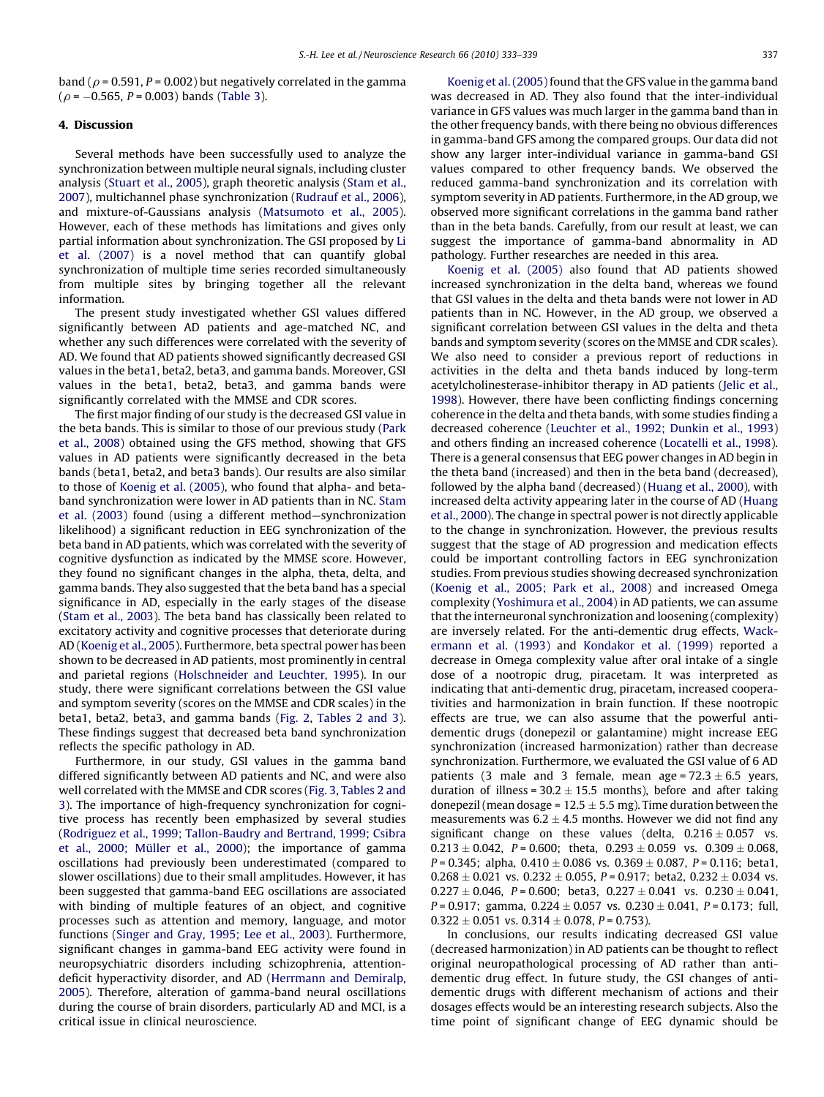band ( $\rho$  = 0.591, P = 0.002) but negatively correlated in the gamma  $(\rho = -0.565, P = 0.003)$  bands [\(Table 3\)](#page-3-0).

# 4. Discussion

Several methods have been successfully used to analyze the synchronization between multiple neural signals, including cluster analysis ([Stuart et al., 2005](#page-5-0)), graph theoretic analysis [\(Stam et al.,](#page-5-0) [2007\)](#page-5-0), multichannel phase synchronization ([Rudrauf et al., 2006\)](#page-5-0), and mixture-of-Gaussians analysis [\(Matsumoto et al., 2005\)](#page-5-0). However, each of these methods has limitations and gives only partial information about synchronization. The GSI proposed by [Li](#page-5-0) [et al. \(2007\)](#page-5-0) is a novel method that can quantify global synchronization of multiple time series recorded simultaneously from multiple sites by bringing together all the relevant information.

The present study investigated whether GSI values differed significantly between AD patients and age-matched NC, and whether any such differences were correlated with the severity of AD. We found that AD patients showed significantly decreased GSI values in the beta1, beta2, beta3, and gamma bands. Moreover, GSI values in the beta1, beta2, beta3, and gamma bands were significantly correlated with the MMSE and CDR scores.

The first major finding of our study is the decreased GSI value in the beta bands. This is similar to those of our previous study ([Park](#page-5-0) [et al., 2008\)](#page-5-0) obtained using the GFS method, showing that GFS values in AD patients were significantly decreased in the beta bands (beta1, beta2, and beta3 bands). Our results are also similar to those of [Koenig et al. \(2005\)](#page-5-0), who found that alpha- and betaband synchronization were lower in AD patients than in NC. [Stam](#page-5-0) [et al. \(2003\)](#page-5-0) found (using a different method—synchronization likelihood) a significant reduction in EEG synchronization of the beta band in AD patients, which was correlated with the severity of cognitive dysfunction as indicated by the MMSE score. However, they found no significant changes in the alpha, theta, delta, and gamma bands. They also suggested that the beta band has a special significance in AD, especially in the early stages of the disease ([Stam et al., 2003](#page-5-0)). The beta band has classically been related to excitatory activity and cognitive processes that deteriorate during AD ([Koenig et al., 2005\)](#page-5-0). Furthermore, beta spectral power has been shown to be decreased in AD patients, most prominently in central and parietal regions [\(Holschneider and Leuchter, 1995](#page-5-0)). In our study, there were significant correlations between the GSI value and symptom severity (scores on the MMSE and CDR scales) in the beta1, beta2, beta3, and gamma bands ([Fig. 2](#page-3-0), [Tables 2 and 3\)](#page-3-0). These findings suggest that decreased beta band synchronization reflects the specific pathology in AD.

Furthermore, in our study, GSI values in the gamma band differed significantly between AD patients and NC, and were also well correlated with the MMSE and CDR scores [\(Fig. 3](#page-3-0), [Tables 2 and](#page-3-0) [3](#page-3-0)). The importance of high-frequency synchronization for cognitive process has recently been emphasized by several studies ([Rodriguez et al., 1999; Tallon-Baudry and Bertrand, 1999; Csibra](#page-5-0) et al., 2000; Müller et al., 2000); the importance of gamma oscillations had previously been underestimated (compared to slower oscillations) due to their small amplitudes. However, it has been suggested that gamma-band EEG oscillations are associated with binding of multiple features of an object, and cognitive processes such as attention and memory, language, and motor functions [\(Singer and Gray, 1995; Lee et al., 2003](#page-5-0)). Furthermore, significant changes in gamma-band EEG activity were found in neuropsychiatric disorders including schizophrenia, attentiondeficit hyperactivity disorder, and AD [\(Herrmann and Demiralp,](#page-5-0) [2005\)](#page-5-0). Therefore, alteration of gamma-band neural oscillations during the course of brain disorders, particularly AD and MCI, is a critical issue in clinical neuroscience.

[Koenig et al. \(2005\)](#page-5-0) found that the GFS value in the gamma band was decreased in AD. They also found that the inter-individual variance in GFS values was much larger in the gamma band than in the other frequency bands, with there being no obvious differences in gamma-band GFS among the compared groups. Our data did not show any larger inter-individual variance in gamma-band GSI values compared to other frequency bands. We observed the reduced gamma-band synchronization and its correlation with symptom severity in AD patients. Furthermore, in the AD group, we observed more significant correlations in the gamma band rather than in the beta bands. Carefully, from our result at least, we can suggest the importance of gamma-band abnormality in AD pathology. Further researches are needed in this area.

[Koenig et al. \(2005\)](#page-5-0) also found that AD patients showed increased synchronization in the delta band, whereas we found that GSI values in the delta and theta bands were not lower in AD patients than in NC. However, in the AD group, we observed a significant correlation between GSI values in the delta and theta bands and symptom severity (scores on the MMSE and CDR scales). We also need to consider a previous report of reductions in activities in the delta and theta bands induced by long-term acetylcholinesterase-inhibitor therapy in AD patients ([Jelic et al.,](#page-5-0) [1998\)](#page-5-0). However, there have been conflicting findings concerning coherence in the delta and theta bands, with some studies finding a decreased coherence [\(Leuchter et al., 1992; Dunkin et al., 1993\)](#page-5-0) and others finding an increased coherence [\(Locatelli et al., 1998\)](#page-5-0). There is a general consensus that EEG power changes in AD begin in the theta band (increased) and then in the beta band (decreased), followed by the alpha band (decreased) [\(Huang et al., 2000\)](#page-5-0), with increased delta activity appearing later in the course of AD ([Huang](#page-5-0) [et al., 2000](#page-5-0)). The change in spectral power is not directly applicable to the change in synchronization. However, the previous results suggest that the stage of AD progression and medication effects could be important controlling factors in EEG synchronization studies. From previous studies showing decreased synchronization ([Koenig et al., 2005; Park et al., 2008](#page-5-0)) and increased Omega complexity [\(Yoshimura et al., 2004](#page-6-0)) in AD patients, we can assume that the interneuronal synchronization and loosening (complexity) are inversely related. For the anti-dementic drug effects, [Wack](#page-5-0)[ermann et al. \(1993\)](#page-5-0) and [Kondakor et al. \(1999\)](#page-5-0) reported a decrease in Omega complexity value after oral intake of a single dose of a nootropic drug, piracetam. It was interpreted as indicating that anti-dementic drug, piracetam, increased cooperativities and harmonization in brain function. If these nootropic effects are true, we can also assume that the powerful antidementic drugs (donepezil or galantamine) might increase EEG synchronization (increased harmonization) rather than decrease synchronization. Furthermore, we evaluated the GSI value of 6 AD patients (3 male and 3 female, mean age =  $72.3 \pm 6.5$  years, duration of illness =  $30.2 \pm 15.5$  months), before and after taking donepezil (mean dosage =  $12.5 \pm 5.5$  mg). Time duration between the measurements was  $6.2 \pm 4.5$  months. However we did not find any significant change on these values (delta,  $0.216 \pm 0.057$  vs.  $0.213 \pm 0.042$ ,  $P = 0.600$ ; theta,  $0.293 \pm 0.059$  vs.  $0.309 \pm 0.068$ ,  $P = 0.345$ ; alpha,  $0.410 \pm 0.086$  vs.  $0.369 \pm 0.087$ ,  $P = 0.116$ ; beta1,  $0.268 \pm 0.021$  vs.  $0.232 \pm 0.055$ ,  $P = 0.917$ ; beta2,  $0.232 \pm 0.034$  vs.  $0.227 \pm 0.046$ ,  $P = 0.600$ ; beta3,  $0.227 \pm 0.041$  vs.  $0.230 \pm 0.041$ ,  $P = 0.917$ ; gamma,  $0.224 \pm 0.057$  vs.  $0.230 \pm 0.041$ ,  $P = 0.173$ ; full,  $0.322 \pm 0.051$  vs.  $0.314 \pm 0.078$ ,  $P = 0.753$ ).

In conclusions, our results indicating decreased GSI value (decreased harmonization) in AD patients can be thought to reflect original neuropathological processing of AD rather than antidementic drug effect. In future study, the GSI changes of antidementic drugs with different mechanism of actions and their dosages effects would be an interesting research subjects. Also the time point of significant change of EEG dynamic should be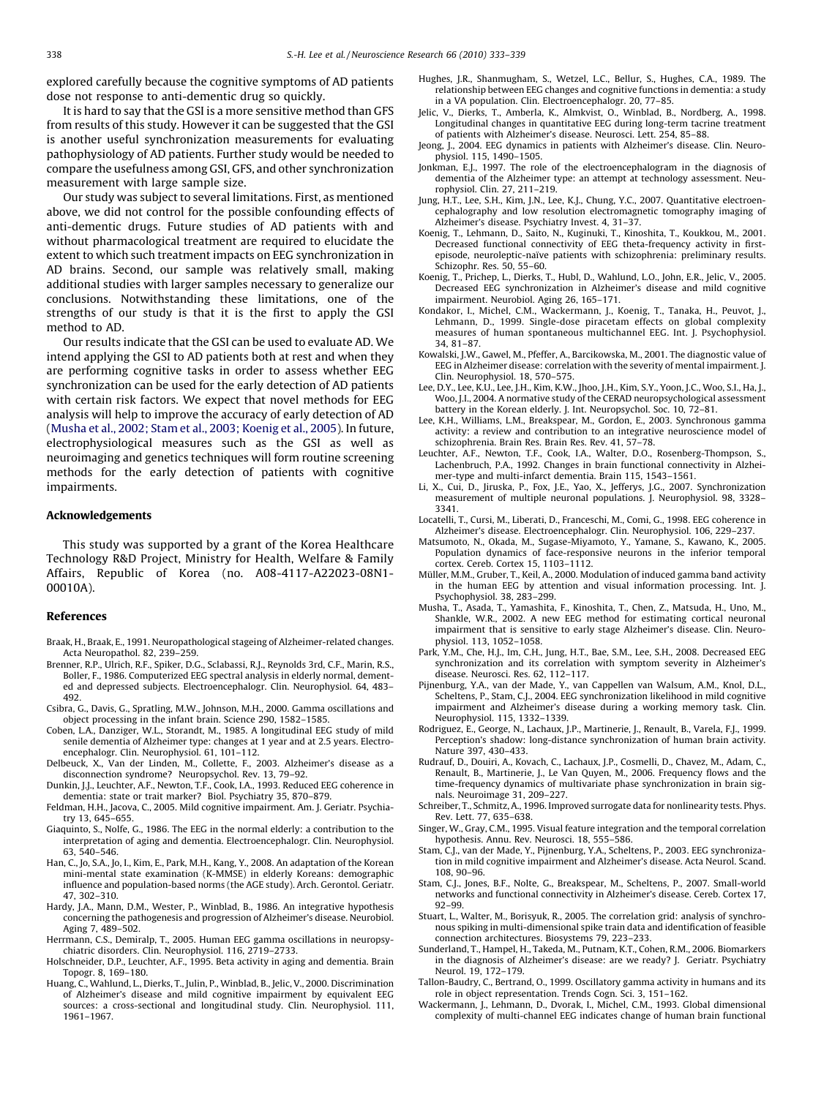<span id="page-5-0"></span>explored carefully because the cognitive symptoms of AD patients dose not response to anti-dementic drug so quickly.

It is hard to say that the GSI is a more sensitive method than GFS from results of this study. However it can be suggested that the GSI is another useful synchronization measurements for evaluating pathophysiology of AD patients. Further study would be needed to compare the usefulness among GSI, GFS, and other synchronization measurement with large sample size.

Our study was subject to several limitations. First, as mentioned above, we did not control for the possible confounding effects of anti-dementic drugs. Future studies of AD patients with and without pharmacological treatment are required to elucidate the extent to which such treatment impacts on EEG synchronization in AD brains. Second, our sample was relatively small, making additional studies with larger samples necessary to generalize our conclusions. Notwithstanding these limitations, one of the strengths of our study is that it is the first to apply the GSI method to AD.

Our results indicate that the GSI can be used to evaluate AD. We intend applying the GSI to AD patients both at rest and when they are performing cognitive tasks in order to assess whether EEG synchronization can be used for the early detection of AD patients with certain risk factors. We expect that novel methods for EEG analysis will help to improve the accuracy of early detection of AD (Musha et al., 2002; Stam et al., 2003; Koenig et al., 2005). In future, electrophysiological measures such as the GSI as well as neuroimaging and genetics techniques will form routine screening methods for the early detection of patients with cognitive impairments.

## Acknowledgements

This study was supported by a grant of the Korea Healthcare Technology R&D Project, Ministry for Health, Welfare & Family Affairs, Republic of Korea (no. A08-4117-A22023-08N1- 00010A).

## References

- Braak, H., Braak, E., 1991. Neuropathological stageing of Alzheimer-related changes. Acta Neuropathol. 82, 239–259.
- Brenner, R.P., Ulrich, R.F., Spiker, D.G., Sclabassi, R.J., Reynolds 3rd, C.F., Marin, R.S., Boller, F., 1986. Computerized EEG spectral analysis in elderly normal, demented and depressed subjects. Electroencephalogr. Clin. Neurophysiol. 64, 483– 492.
- Csibra, G., Davis, G., Spratling, M.W., Johnson, M.H., 2000. Gamma oscillations and object processing in the infant brain. Science 290, 1582–1585.
- Coben, L.A., Danziger, W.L., Storandt, M., 1985. A longitudinal EEG study of mild senile dementia of Alzheimer type: changes at 1 year and at 2.5 years. Electroencephalogr. Clin. Neurophysiol. 61, 101–112.
- Delbeuck, X., Van der Linden, M., Collette, F., 2003. Alzheimer's disease as a disconnection syndrome? Neuropsychol. Rev. 13, 79–92.
- Dunkin, J.J., Leuchter, A.F., Newton, T.F., Cook, I.A., 1993. Reduced EEG coherence in dementia: state or trait marker? Biol. Psychiatry 35, 870–879.
- Feldman, H.H., Jacova, C., 2005. Mild cognitive impairment. Am. J. Geriatr. Psychiatry 13, 645–655.
- Giaquinto, S., Nolfe, G., 1986. The EEG in the normal elderly: a contribution to the interpretation of aging and dementia. Electroencephalogr. Clin. Neurophysiol. 63, 540–546.
- Han, C., Jo, S.A., Jo, I., Kim, E., Park, M.H., Kang, Y., 2008. An adaptation of the Korean mini-mental state examination (K-MMSE) in elderly Koreans: demographic influence and population-based norms (the AGE study). Arch. Gerontol. Geriatr. 47, 302–310.
- Hardy, J.A., Mann, D.M., Wester, P., Winblad, B., 1986. An integrative hypothesis concerning the pathogenesis and progression of Alzheimer's disease. Neurobiol. Aging 7, 489–502.
- Herrmann, C.S., Demiralp, T., 2005. Human EEG gamma oscillations in neuropsychiatric disorders. Clin. Neurophysiol. 116, 2719–2733.
- Holschneider, D.P., Leuchter, A.F., 1995. Beta activity in aging and dementia. Brain Topogr. 8, 169–180.
- Huang, C., Wahlund, L., Dierks, T., Julin, P., Winblad, B., Jelic, V., 2000. Discrimination of Alzheimer's disease and mild cognitive impairment by equivalent EEG sources: a cross-sectional and longitudinal study. Clin. Neurophysiol. 111, 1961–1967.
- Hughes, J.R., Shanmugham, S., Wetzel, L.C., Bellur, S., Hughes, C.A., 1989. The relationship between EEG changes and cognitive functions in dementia: a study in a VA population. Clin. Electroencephalogr. 20, 77–85.
- Jelic, V., Dierks, T., Amberla, K., Almkvist, O., Winblad, B., Nordberg, A., 1998. Longitudinal changes in quantitative EEG during long-term tacrine treatment of patients with Alzheimer's disease. Neurosci. Lett. 254, 85–88.
- Jeong, J., 2004. EEG dynamics in patients with Alzheimer's disease. Clin. Neurophysiol. 115, 1490–1505.
- Jonkman, E.J., 1997. The role of the electroencephalogram in the diagnosis of dementia of the Alzheimer type: an attempt at technology assessment. Neurophysiol. Clin. 27, 211–219.
- Jung, H.T., Lee, S.H., Kim, J.N., Lee, K.J., Chung, Y.C., 2007. Quantitative electroencephalography and low resolution electromagnetic tomography imaging of Alzheimer's disease. Psychiatry Invest. 4, 31–37.
- Koenig, T., Lehmann, D., Saito, N., Kuginuki, T., Kinoshita, T., Koukkou, M., 2001. Decreased functional connectivity of EEG theta-frequency activity in firstepisode, neuroleptic-naïve patients with schizophrenia: preliminary results. Schizophr. Res. 50, 55–60.
- Koenig, T., Prichep, L., Dierks, T., Hubl, D., Wahlund, L.O., John, E.R., Jelic, V., 2005. Decreased EEG synchronization in Alzheimer's disease and mild cognitive impairment. Neurobiol. Aging 26, 165–171.
- Kondakor, I., Michel, C.M., Wackermann, J., Koenig, T., Tanaka, H., Peuvot, J., Lehmann, D., 1999. Single-dose piracetam effects on global complexity measures of human spontaneous multichannel EEG. Int. J. Psychophysiol. 34, 81–87.
- Kowalski, J.W., Gawel, M., Pfeffer, A., Barcikowska, M., 2001. The diagnostic value of EEG in Alzheimer disease: correlation with the severity of mental impairment. J. Clin. Neurophysiol. 18, 570–575.
- Lee, D.Y., Lee, K.U., Lee, J.H., Kim, K.W., Jhoo, J.H., Kim, S.Y., Yoon, J.C., Woo, S.I., Ha, J., Woo, J.I., 2004. A normative study of the CERAD neuropsychological assessment battery in the Korean elderly. J. Int. Neuropsychol. Soc. 10, 72–81.
- Lee, K.H., Williams, L.M., Breakspear, M., Gordon, E., 2003. Synchronous gamma activity: a review and contribution to an integrative neuroscience model of schizophrenia. Brain Res. Brain Res. Rev. 41, 57–78.
- Leuchter, A.F., Newton, T.F., Cook, I.A., Walter, D.O., Rosenberg-Thompson, S., Lachenbruch, P.A., 1992. Changes in brain functional connectivity in Alzheimer-type and multi-infarct dementia. Brain 115, 1543–1561.
- Li, X., Cui, D., Jiruska, P., Fox, J.E., Yao, X., Jefferys, J.G., 2007. Synchronization measurement of multiple neuronal populations. J. Neurophysiol. 98, 3328– 3341.
- Locatelli, T., Cursi, M., Liberati, D., Franceschi, M., Comi, G., 1998. EEG coherence in Alzheimer's disease. Electroencephalogr. Clin. Neurophysiol. 106, 229–237.
- Matsumoto, N., Okada, M., Sugase-Miyamoto, Y., Yamane, S., Kawano, K., 2005. Population dynamics of face-responsive neurons in the inferior temporal cortex. Cereb. Cortex 15, 1103–1112.
- Müller, M.M., Gruber, T., Keil, A., 2000. Modulation of induced gamma band activity in the human EEG by attention and visual information processing. Int. J. Psychophysiol. 38, 283–299.
- Musha, T., Asada, T., Yamashita, F., Kinoshita, T., Chen, Z., Matsuda, H., Uno, M., Shankle, W.R., 2002. A new EEG method for estimating cortical neuronal impairment that is sensitive to early stage Alzheimer's disease. Clin. Neurophysiol. 113, 1052–1058.
- Park, Y.M., Che, H.J., Im, C.H., Jung, H.T., Bae, S.M., Lee, S.H., 2008. Decreased EEG synchronization and its correlation with symptom severity in Alzheimer's disease. Neurosci. Res. 62, 112–117.
- Pijnenburg, Y.A., van der Made, Y., van Cappellen van Walsum, A.M., Knol, D.L., Scheltens, P., Stam, C.J., 2004. EEG synchronization likelihood in mild cognitive impairment and Alzheimer's disease during a working memory task. Clin. Neurophysiol. 115, 1332–1339.
- Rodriguez, E., George, N., Lachaux, J.P., Martinerie, J., Renault, B., Varela, F.J., 1999. Perception's shadow: long-distance synchronization of human brain activity. Nature 397, 430–433.
- Rudrauf, D., Douiri, A., Kovach, C., Lachaux, J.P., Cosmelli, D., Chavez, M., Adam, C., Renault, B., Martinerie, J., Le Van Quyen, M., 2006. Frequency flows and the time-frequency dynamics of multivariate phase synchronization in brain signals. Neuroimage 31, 209–227.
- Schreiber, T., Schmitz, A., 1996. Improved surrogate data for nonlinearity tests. Phys. Rev. Lett. 77, 635–638.
- Singer, W., Gray, C.M., 1995. Visual feature integration and the temporal correlation hypothesis. Annu. Rev. Neurosci. 18, 555–586.
- Stam, C.J., van der Made, Y., Pijnenburg, Y.A., Scheltens, P., 2003. EEG synchronization in mild cognitive impairment and Alzheimer's disease. Acta Neurol. Scand. 108, 90–96.
- Stam, C.J., Jones, B.F., Nolte, G., Breakspear, M., Scheltens, P., 2007. Small-world networks and functional connectivity in Alzheimer's disease. Cereb. Cortex 17, 92–99.
- Stuart, L., Walter, M., Borisyuk, R., 2005. The correlation grid: analysis of synchronous spiking in multi-dimensional spike train data and identification of feasible connection architectures. Biosystems 79, 223–233.
- Sunderland, T., Hampel, H., Takeda, M., Putnam, K.T., Cohen, R.M., 2006. Biomarkers in the diagnosis of Alzheimer's disease: are we ready? J. Geriatr. Psychiatry Neurol. 19, 172–179.
- Tallon-Baudry, C., Bertrand, O., 1999. Oscillatory gamma activity in humans and its role in object representation. Trends Cogn. Sci. 3, 151–162.
- Wackermann, J., Lehmann, D., Dvorak, I., Michel, C.M., 1993. Global dimensional complexity of multi-channel EEG indicates change of human brain functional